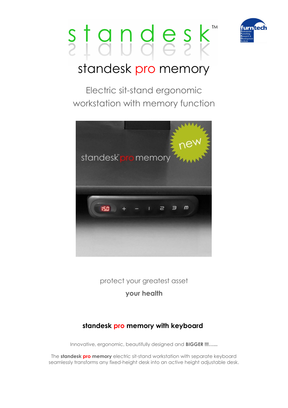



## standesk pro memory

Electric sit-stand ergonomic workstation with memory function



protect your greatest asset

**your health**

### **standesk pro memory with keyboard**

Innovative, ergonomic, beautifully designed and **BIGGER !!!…...**

The **standesk pro memory** electric sit-stand workstation with separate keyboard seamlessly transforms any fixed-height desk into an active height adjustable desk.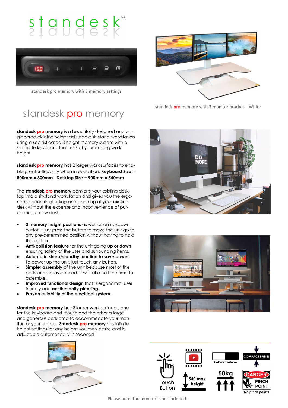# $s$ <sub>1</sub>gndesk



standesk pro memory with 3 memory settings

### standesk pro memory

**standesk pro memory** is a beautifully designed and engineered electric height adjustable sit-stand workstation using a sophisticated 3 height memory system with a separate keyboard that rests at your existing work height

**standesk pro memory** has 2 larger work surfaces to enable greater flexibility when in operation. **Keyboard Size = 800mm x 300mm, Desktop Size = 900mm x 540mm**

The **standesk pro memory** converts your existing desktop into a sit-stand workstation and gives you the ergonomic benefits of sitting and standing at your existing desk without the expense and inconvenience of purchasing a new desk

- **3 memory height positions** as well as an up/down button – just press the button to make the unit go to any pre-determined position without having to hold the button.
- **Anti-collision feature** for the unit going **up or down** ensuring safety of the user and surrounding items.
- **Automatic sleep/standby function** to **save power**. To power up the unit, just touch any button.
- **Simpler assembly** of the unit because most of the parts are pre-assembled. It will take half the time to assemble.
- **Improved functional design** that is ergonomic, user friendly and **aesthetically pleasing.**
- **Proven reliability of the electrical system.**

**standesk pro memory** has 2 larger work surfaces, one for the keyboard and mouse and the other a large and generous desk area to accommodate your monitor, or your laptop. **Standesk pro memory** has infinite height settings for any height you may desire and is adjustable automatically in seconds!!





standesk pro memory with 3 monitor bracket-White







Please note: the monitor is not included.